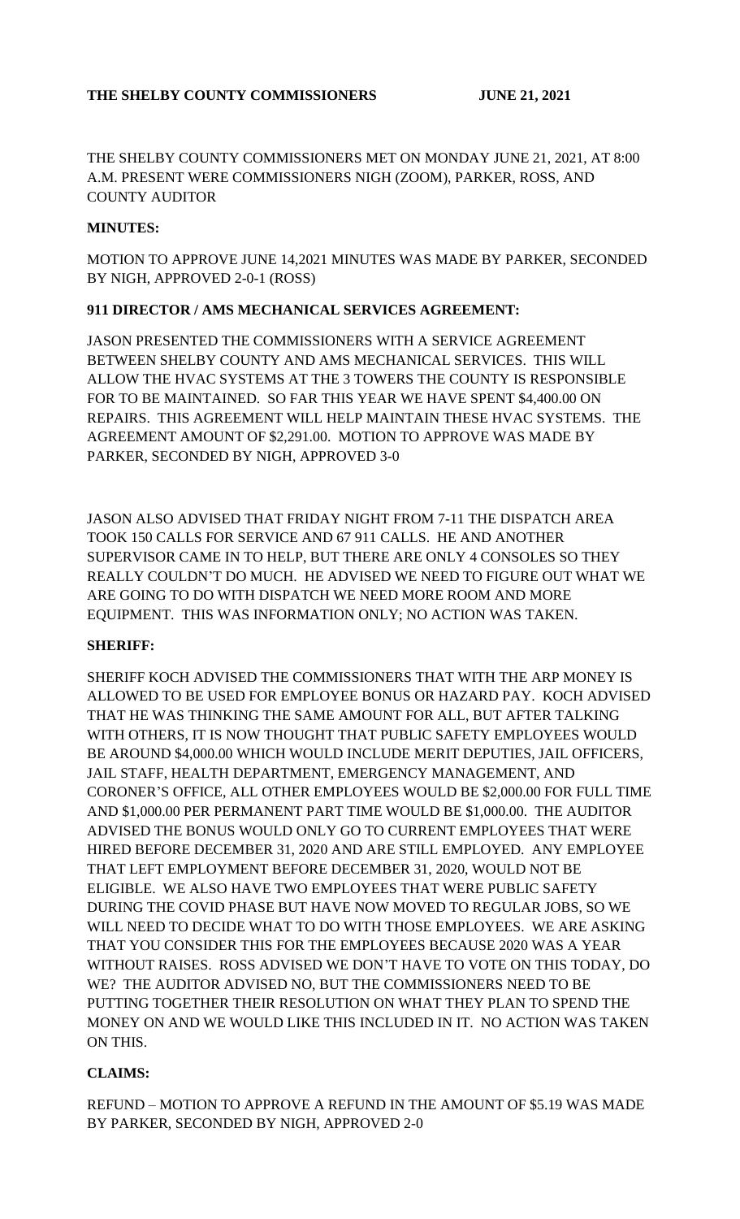THE SHELBY COUNTY COMMISSIONERS MET ON MONDAY JUNE 21, 2021, AT 8:00 A.M. PRESENT WERE COMMISSIONERS NIGH (ZOOM), PARKER, ROSS, AND COUNTY AUDITOR

#### **MINUTES:**

MOTION TO APPROVE JUNE 14,2021 MINUTES WAS MADE BY PARKER, SECONDED BY NIGH, APPROVED 2-0-1 (ROSS)

#### **911 DIRECTOR / AMS MECHANICAL SERVICES AGREEMENT:**

JASON PRESENTED THE COMMISSIONERS WITH A SERVICE AGREEMENT BETWEEN SHELBY COUNTY AND AMS MECHANICAL SERVICES. THIS WILL ALLOW THE HVAC SYSTEMS AT THE 3 TOWERS THE COUNTY IS RESPONSIBLE FOR TO BE MAINTAINED. SO FAR THIS YEAR WE HAVE SPENT \$4,400.00 ON REPAIRS. THIS AGREEMENT WILL HELP MAINTAIN THESE HVAC SYSTEMS. THE AGREEMENT AMOUNT OF \$2,291.00. MOTION TO APPROVE WAS MADE BY PARKER, SECONDED BY NIGH, APPROVED 3-0

JASON ALSO ADVISED THAT FRIDAY NIGHT FROM 7-11 THE DISPATCH AREA TOOK 150 CALLS FOR SERVICE AND 67 911 CALLS. HE AND ANOTHER SUPERVISOR CAME IN TO HELP, BUT THERE ARE ONLY 4 CONSOLES SO THEY REALLY COULDN'T DO MUCH. HE ADVISED WE NEED TO FIGURE OUT WHAT WE ARE GOING TO DO WITH DISPATCH WE NEED MORE ROOM AND MORE EQUIPMENT. THIS WAS INFORMATION ONLY; NO ACTION WAS TAKEN.

### **SHERIFF:**

SHERIFF KOCH ADVISED THE COMMISSIONERS THAT WITH THE ARP MONEY IS ALLOWED TO BE USED FOR EMPLOYEE BONUS OR HAZARD PAY. KOCH ADVISED THAT HE WAS THINKING THE SAME AMOUNT FOR ALL, BUT AFTER TALKING WITH OTHERS, IT IS NOW THOUGHT THAT PUBLIC SAFETY EMPLOYEES WOULD BE AROUND \$4,000.00 WHICH WOULD INCLUDE MERIT DEPUTIES, JAIL OFFICERS, JAIL STAFF, HEALTH DEPARTMENT, EMERGENCY MANAGEMENT, AND CORONER'S OFFICE, ALL OTHER EMPLOYEES WOULD BE \$2,000.00 FOR FULL TIME AND \$1,000.00 PER PERMANENT PART TIME WOULD BE \$1,000.00. THE AUDITOR ADVISED THE BONUS WOULD ONLY GO TO CURRENT EMPLOYEES THAT WERE HIRED BEFORE DECEMBER 31, 2020 AND ARE STILL EMPLOYED. ANY EMPLOYEE THAT LEFT EMPLOYMENT BEFORE DECEMBER 31, 2020, WOULD NOT BE ELIGIBLE. WE ALSO HAVE TWO EMPLOYEES THAT WERE PUBLIC SAFETY DURING THE COVID PHASE BUT HAVE NOW MOVED TO REGULAR JOBS, SO WE WILL NEED TO DECIDE WHAT TO DO WITH THOSE EMPLOYEES. WE ARE ASKING THAT YOU CONSIDER THIS FOR THE EMPLOYEES BECAUSE 2020 WAS A YEAR WITHOUT RAISES. ROSS ADVISED WE DON'T HAVE TO VOTE ON THIS TODAY, DO WE? THE AUDITOR ADVISED NO, BUT THE COMMISSIONERS NEED TO BE PUTTING TOGETHER THEIR RESOLUTION ON WHAT THEY PLAN TO SPEND THE MONEY ON AND WE WOULD LIKE THIS INCLUDED IN IT. NO ACTION WAS TAKEN ON THIS.

### **CLAIMS:**

REFUND – MOTION TO APPROVE A REFUND IN THE AMOUNT OF \$5.19 WAS MADE BY PARKER, SECONDED BY NIGH, APPROVED 2-0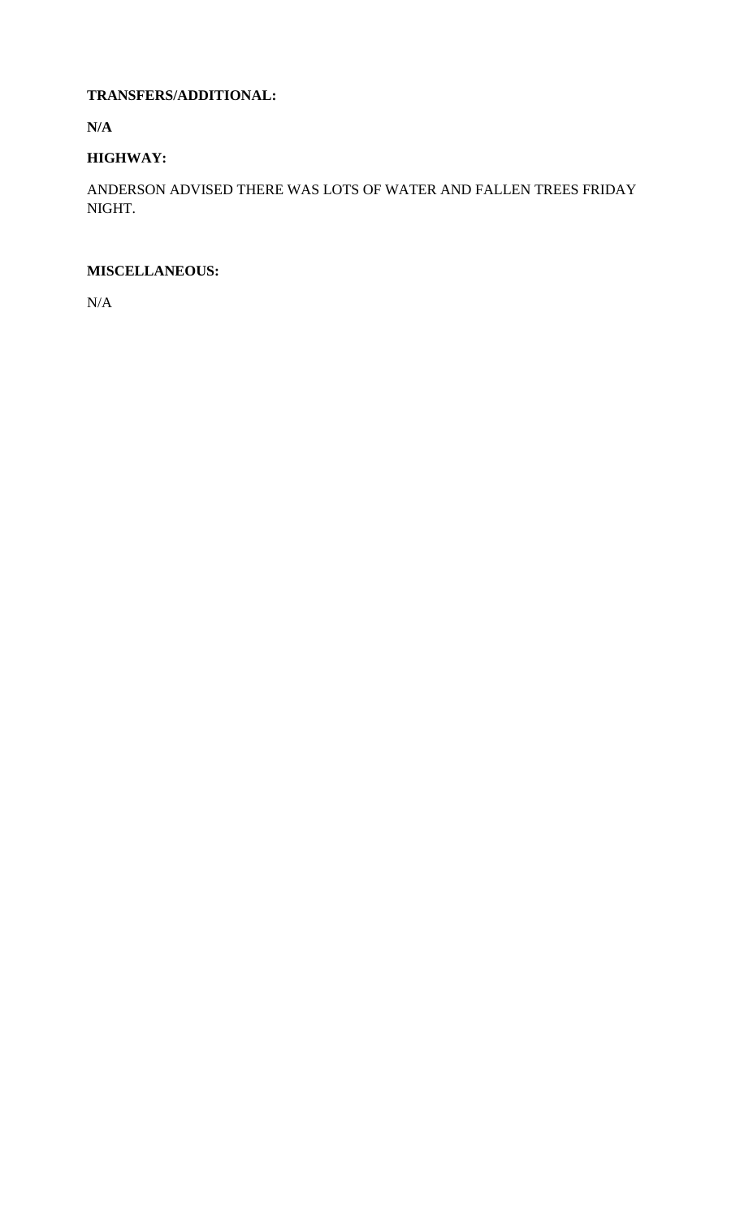## **TRANSFERS/ADDITIONAL:**

**N/A**

# **HIGHWAY:**

ANDERSON ADVISED THERE WAS LOTS OF WATER AND FALLEN TREES FRIDAY NIGHT.

## **MISCELLANEOUS:**

N/A